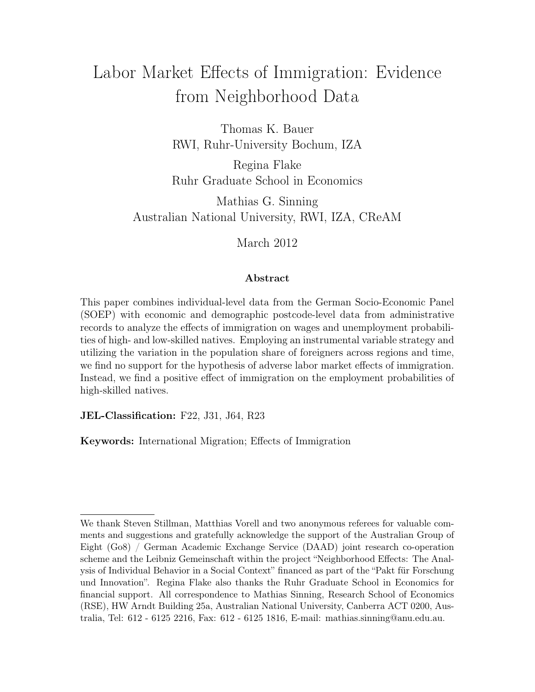# Labor Market Effects of Immigration: Evidence from Neighborhood Data

Thomas K. Bauer RWI, Ruhr-University Bochum, IZA

Regina Flake Ruhr Graduate School in Economics

Mathias G. Sinning Australian National University, RWI, IZA, CReAM

March 2012

#### Abstract

This paper combines individual-level data from the German Socio-Economic Panel (SOEP) with economic and demographic postcode-level data from administrative records to analyze the effects of immigration on wages and unemployment probabilities of high- and low-skilled natives. Employing an instrumental variable strategy and utilizing the variation in the population share of foreigners across regions and time, we find no support for the hypothesis of adverse labor market effects of immigration. Instead, we find a positive effect of immigration on the employment probabilities of high-skilled natives.

JEL-Classification: F22, J31, J64, R23

Keywords: International Migration; Effects of Immigration

We thank Steven Stillman, Matthias Vorell and two anonymous referees for valuable comments and suggestions and gratefully acknowledge the support of the Australian Group of Eight (Go8) / German Academic Exchange Service (DAAD) joint research co-operation scheme and the Leibniz Gemeinschaft within the project "Neighborhood Effects: The Analysis of Individual Behavior in a Social Context" financed as part of the "Pakt für Forschung und Innovation". Regina Flake also thanks the Ruhr Graduate School in Economics for financial support. All correspondence to Mathias Sinning, Research School of Economics (RSE), HW Arndt Building 25a, Australian National University, Canberra ACT 0200, Australia, Tel: 612 - 6125 2216, Fax: 612 - 6125 1816, E-mail: mathias.sinning@anu.edu.au.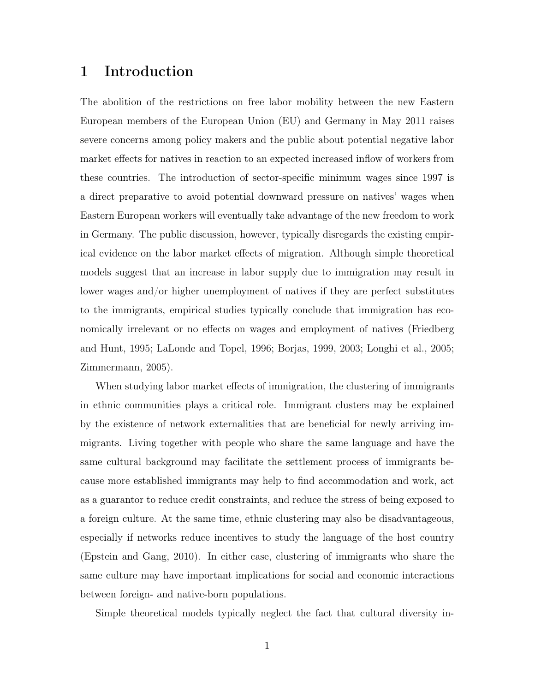#### 1 Introduction

The abolition of the restrictions on free labor mobility between the new Eastern European members of the European Union (EU) and Germany in May 2011 raises severe concerns among policy makers and the public about potential negative labor market effects for natives in reaction to an expected increased inflow of workers from these countries. The introduction of sector-specific minimum wages since 1997 is a direct preparative to avoid potential downward pressure on natives' wages when Eastern European workers will eventually take advantage of the new freedom to work in Germany. The public discussion, however, typically disregards the existing empirical evidence on the labor market effects of migration. Although simple theoretical models suggest that an increase in labor supply due to immigration may result in lower wages and/or higher unemployment of natives if they are perfect substitutes to the immigrants, empirical studies typically conclude that immigration has economically irrelevant or no effects on wages and employment of natives (Friedberg and Hunt, 1995; LaLonde and Topel, 1996; Borjas, 1999, 2003; Longhi et al., 2005; Zimmermann, 2005).

When studying labor market effects of immigration, the clustering of immigrants in ethnic communities plays a critical role. Immigrant clusters may be explained by the existence of network externalities that are beneficial for newly arriving immigrants. Living together with people who share the same language and have the same cultural background may facilitate the settlement process of immigrants because more established immigrants may help to find accommodation and work, act as a guarantor to reduce credit constraints, and reduce the stress of being exposed to a foreign culture. At the same time, ethnic clustering may also be disadvantageous, especially if networks reduce incentives to study the language of the host country (Epstein and Gang, 2010). In either case, clustering of immigrants who share the same culture may have important implications for social and economic interactions between foreign- and native-born populations.

Simple theoretical models typically neglect the fact that cultural diversity in-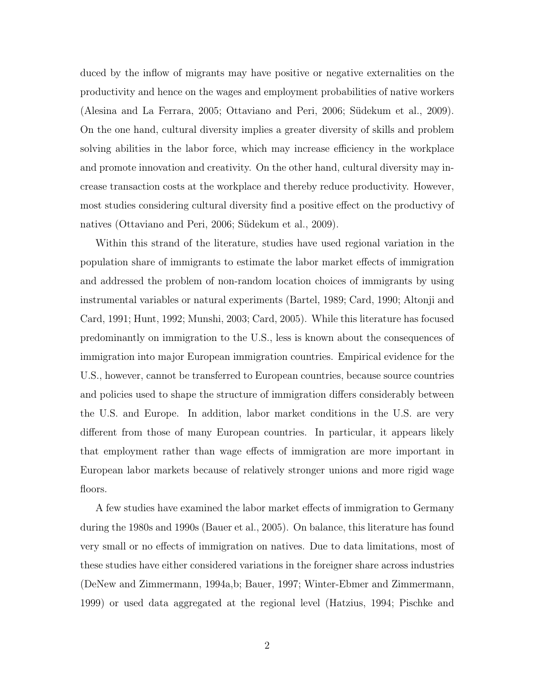duced by the inflow of migrants may have positive or negative externalities on the productivity and hence on the wages and employment probabilities of native workers (Alesina and La Ferrara, 2005; Ottaviano and Peri, 2006; Südekum et al., 2009). On the one hand, cultural diversity implies a greater diversity of skills and problem solving abilities in the labor force, which may increase efficiency in the workplace and promote innovation and creativity. On the other hand, cultural diversity may increase transaction costs at the workplace and thereby reduce productivity. However, most studies considering cultural diversity find a positive effect on the productivy of natives (Ottaviano and Peri, 2006; Südekum et al., 2009).

Within this strand of the literature, studies have used regional variation in the population share of immigrants to estimate the labor market effects of immigration and addressed the problem of non-random location choices of immigrants by using instrumental variables or natural experiments (Bartel, 1989; Card, 1990; Altonji and Card, 1991; Hunt, 1992; Munshi, 2003; Card, 2005). While this literature has focused predominantly on immigration to the U.S., less is known about the consequences of immigration into major European immigration countries. Empirical evidence for the U.S., however, cannot be transferred to European countries, because source countries and policies used to shape the structure of immigration differs considerably between the U.S. and Europe. In addition, labor market conditions in the U.S. are very different from those of many European countries. In particular, it appears likely that employment rather than wage effects of immigration are more important in European labor markets because of relatively stronger unions and more rigid wage floors.

A few studies have examined the labor market effects of immigration to Germany during the 1980s and 1990s (Bauer et al., 2005). On balance, this literature has found very small or no effects of immigration on natives. Due to data limitations, most of these studies have either considered variations in the foreigner share across industries (DeNew and Zimmermann, 1994a,b; Bauer, 1997; Winter-Ebmer and Zimmermann, 1999) or used data aggregated at the regional level (Hatzius, 1994; Pischke and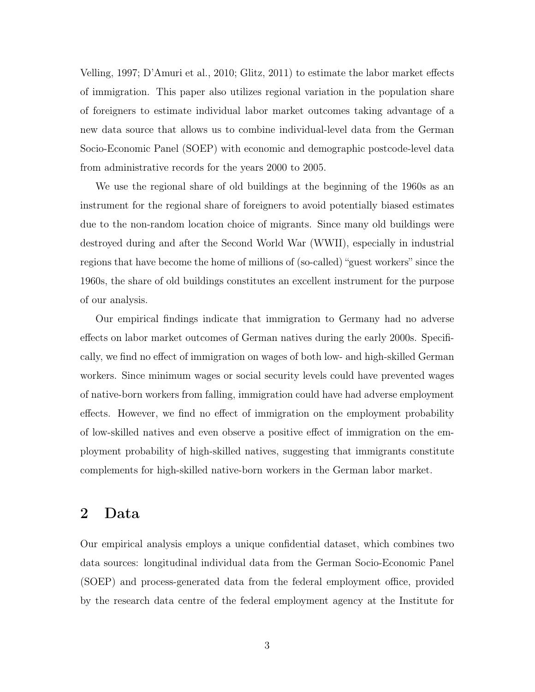Velling, 1997; D'Amuri et al., 2010; Glitz, 2011) to estimate the labor market effects of immigration. This paper also utilizes regional variation in the population share of foreigners to estimate individual labor market outcomes taking advantage of a new data source that allows us to combine individual-level data from the German Socio-Economic Panel (SOEP) with economic and demographic postcode-level data from administrative records for the years 2000 to 2005.

We use the regional share of old buildings at the beginning of the 1960s as an instrument for the regional share of foreigners to avoid potentially biased estimates due to the non-random location choice of migrants. Since many old buildings were destroyed during and after the Second World War (WWII), especially in industrial regions that have become the home of millions of (so-called) "guest workers" since the 1960s, the share of old buildings constitutes an excellent instrument for the purpose of our analysis.

Our empirical findings indicate that immigration to Germany had no adverse effects on labor market outcomes of German natives during the early 2000s. Specifically, we find no effect of immigration on wages of both low- and high-skilled German workers. Since minimum wages or social security levels could have prevented wages of native-born workers from falling, immigration could have had adverse employment effects. However, we find no effect of immigration on the employment probability of low-skilled natives and even observe a positive effect of immigration on the employment probability of high-skilled natives, suggesting that immigrants constitute complements for high-skilled native-born workers in the German labor market.

#### 2 Data

Our empirical analysis employs a unique confidential dataset, which combines two data sources: longitudinal individual data from the German Socio-Economic Panel (SOEP) and process-generated data from the federal employment office, provided by the research data centre of the federal employment agency at the Institute for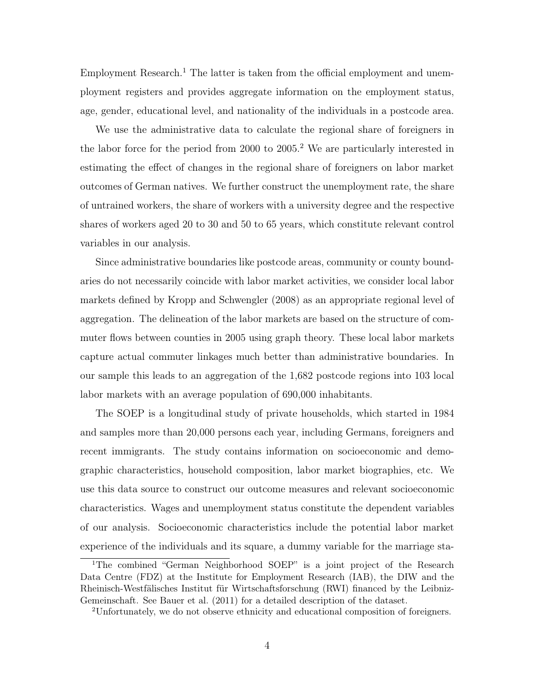Employment Research.<sup>1</sup> The latter is taken from the official employment and unemployment registers and provides aggregate information on the employment status, age, gender, educational level, and nationality of the individuals in a postcode area.

We use the administrative data to calculate the regional share of foreigners in the labor force for the period from 2000 to 2005.<sup>2</sup> We are particularly interested in estimating the effect of changes in the regional share of foreigners on labor market outcomes of German natives. We further construct the unemployment rate, the share of untrained workers, the share of workers with a university degree and the respective shares of workers aged 20 to 30 and 50 to 65 years, which constitute relevant control variables in our analysis.

Since administrative boundaries like postcode areas, community or county boundaries do not necessarily coincide with labor market activities, we consider local labor markets defined by Kropp and Schwengler (2008) as an appropriate regional level of aggregation. The delineation of the labor markets are based on the structure of commuter flows between counties in 2005 using graph theory. These local labor markets capture actual commuter linkages much better than administrative boundaries. In our sample this leads to an aggregation of the 1,682 postcode regions into 103 local labor markets with an average population of 690,000 inhabitants.

The SOEP is a longitudinal study of private households, which started in 1984 and samples more than 20,000 persons each year, including Germans, foreigners and recent immigrants. The study contains information on socioeconomic and demographic characteristics, household composition, labor market biographies, etc. We use this data source to construct our outcome measures and relevant socioeconomic characteristics. Wages and unemployment status constitute the dependent variables of our analysis. Socioeconomic characteristics include the potential labor market experience of the individuals and its square, a dummy variable for the marriage sta-

<sup>1</sup>The combined "German Neighborhood SOEP" is a joint project of the Research Data Centre (FDZ) at the Institute for Employment Research (IAB), the DIW and the Rheinisch-Westfälisches Institut für Wirtschaftsforschung (RWI) financed by the Leibniz-Gemeinschaft. See Bauer et al. (2011) for a detailed description of the dataset.

<sup>2</sup>Unfortunately, we do not observe ethnicity and educational composition of foreigners.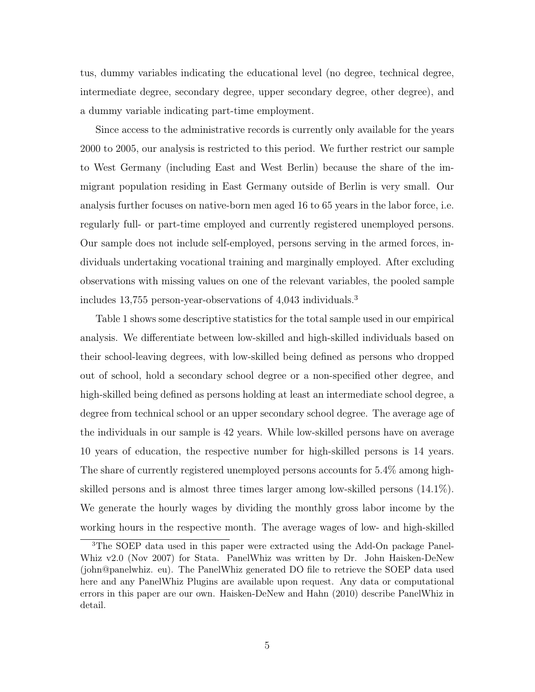tus, dummy variables indicating the educational level (no degree, technical degree, intermediate degree, secondary degree, upper secondary degree, other degree), and a dummy variable indicating part-time employment.

Since access to the administrative records is currently only available for the years 2000 to 2005, our analysis is restricted to this period. We further restrict our sample to West Germany (including East and West Berlin) because the share of the immigrant population residing in East Germany outside of Berlin is very small. Our analysis further focuses on native-born men aged 16 to 65 years in the labor force, i.e. regularly full- or part-time employed and currently registered unemployed persons. Our sample does not include self-employed, persons serving in the armed forces, individuals undertaking vocational training and marginally employed. After excluding observations with missing values on one of the relevant variables, the pooled sample includes 13,755 person-year-observations of 4,043 individuals.<sup>3</sup>

Table 1 shows some descriptive statistics for the total sample used in our empirical analysis. We differentiate between low-skilled and high-skilled individuals based on their school-leaving degrees, with low-skilled being defined as persons who dropped out of school, hold a secondary school degree or a non-specified other degree, and high-skilled being defined as persons holding at least an intermediate school degree, a degree from technical school or an upper secondary school degree. The average age of the individuals in our sample is 42 years. While low-skilled persons have on average 10 years of education, the respective number for high-skilled persons is 14 years. The share of currently registered unemployed persons accounts for 5.4% among highskilled persons and is almost three times larger among low-skilled persons (14.1%). We generate the hourly wages by dividing the monthly gross labor income by the working hours in the respective month. The average wages of low- and high-skilled

<sup>3</sup>The SOEP data used in this paper were extracted using the Add-On package Panel-Whiz v2.0 (Nov 2007) for Stata. PanelWhiz was written by Dr. John Haisken-DeNew (john@panelwhiz. eu). The PanelWhiz generated DO file to retrieve the SOEP data used here and any PanelWhiz Plugins are available upon request. Any data or computational errors in this paper are our own. Haisken-DeNew and Hahn (2010) describe PanelWhiz in detail.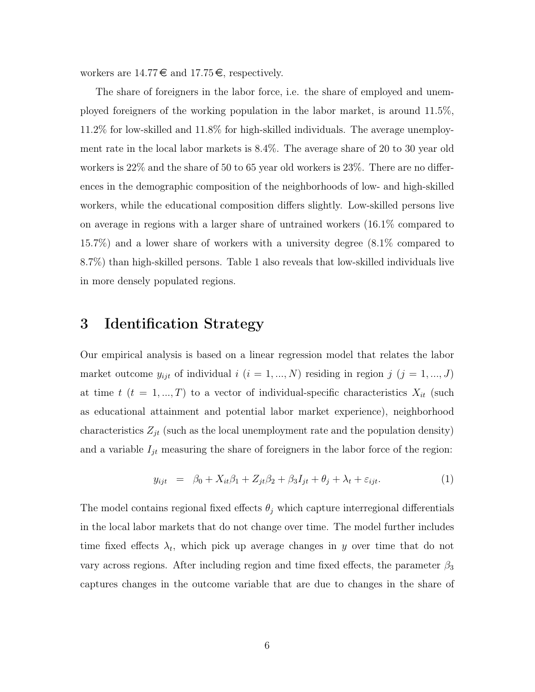workers are  $14.77 \in \text{and } 17.75 \in$ , respectively.

The share of foreigners in the labor force, i.e. the share of employed and unemployed foreigners of the working population in the labor market, is around 11.5%, 11.2% for low-skilled and 11.8% for high-skilled individuals. The average unemployment rate in the local labor markets is 8.4%. The average share of 20 to 30 year old workers is 22% and the share of 50 to 65 year old workers is 23%. There are no differences in the demographic composition of the neighborhoods of low- and high-skilled workers, while the educational composition differs slightly. Low-skilled persons live on average in regions with a larger share of untrained workers (16.1% compared to 15.7%) and a lower share of workers with a university degree (8.1% compared to 8.7%) than high-skilled persons. Table 1 also reveals that low-skilled individuals live in more densely populated regions.

#### 3 Identification Strategy

Our empirical analysis is based on a linear regression model that relates the labor market outcome  $y_{ijt}$  of individual  $i$   $(i = 1, ..., N)$  residing in region  $j$   $(j = 1, ..., J)$ at time t  $(t = 1, ..., T)$  to a vector of individual-specific characteristics  $X_{it}$  (such as educational attainment and potential labor market experience), neighborhood characteristics  $Z_{jt}$  (such as the local unemployment rate and the population density) and a variable  $I_{jt}$  measuring the share of foreigners in the labor force of the region:

$$
y_{ijt} = \beta_0 + X_{it}\beta_1 + Z_{jt}\beta_2 + \beta_3 I_{jt} + \theta_j + \lambda_t + \varepsilon_{ijt}.
$$
 (1)

The model contains regional fixed effects  $\theta_j$  which capture interregional differentials in the local labor markets that do not change over time. The model further includes time fixed effects  $\lambda_t$ , which pick up average changes in y over time that do not vary across regions. After including region and time fixed effects, the parameter  $\beta_3$ captures changes in the outcome variable that are due to changes in the share of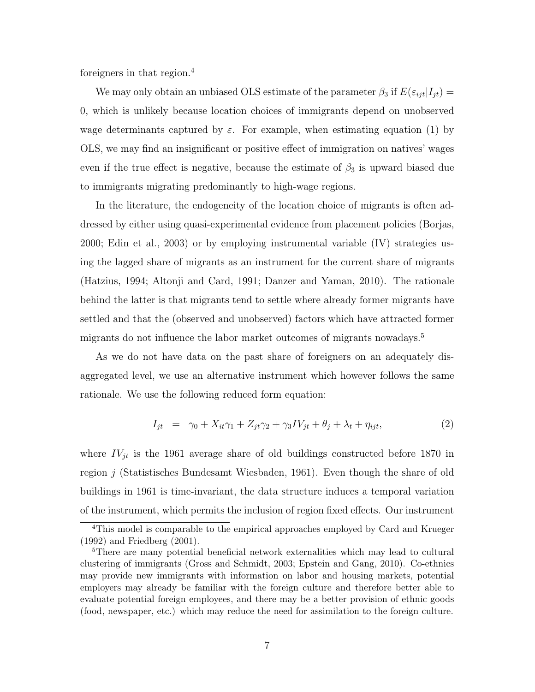foreigners in that region.<sup>4</sup>

We may only obtain an unbiased OLS estimate of the parameter  $\beta_3$  if  $E(\varepsilon_{ijt}|I_{jt}) =$ 0, which is unlikely because location choices of immigrants depend on unobserved wage determinants captured by  $\varepsilon$ . For example, when estimating equation (1) by OLS, we may find an insignificant or positive effect of immigration on natives' wages even if the true effect is negative, because the estimate of  $\beta_3$  is upward biased due to immigrants migrating predominantly to high-wage regions.

In the literature, the endogeneity of the location choice of migrants is often addressed by either using quasi-experimental evidence from placement policies (Borjas, 2000; Edin et al., 2003) or by employing instrumental variable (IV) strategies using the lagged share of migrants as an instrument for the current share of migrants (Hatzius, 1994; Altonji and Card, 1991; Danzer and Yaman, 2010). The rationale behind the latter is that migrants tend to settle where already former migrants have settled and that the (observed and unobserved) factors which have attracted former migrants do not influence the labor market outcomes of migrants nowadays.<sup>5</sup>

As we do not have data on the past share of foreigners on an adequately disaggregated level, we use an alternative instrument which however follows the same rationale. We use the following reduced form equation:

$$
I_{jt} = \gamma_0 + X_{it}\gamma_1 + Z_{jt}\gamma_2 + \gamma_3 IV_{jt} + \theta_j + \lambda_t + \eta_{ijt}, \qquad (2)
$$

where  $IV_{jt}$  is the 1961 average share of old buildings constructed before 1870 in region j (Statistisches Bundesamt Wiesbaden, 1961). Even though the share of old buildings in 1961 is time-invariant, the data structure induces a temporal variation of the instrument, which permits the inclusion of region fixed effects. Our instrument

<sup>&</sup>lt;sup>4</sup>This model is comparable to the empirical approaches employed by Card and Krueger (1992) and Friedberg (2001).

<sup>&</sup>lt;sup>5</sup>There are many potential beneficial network externalities which may lead to cultural clustering of immigrants (Gross and Schmidt, 2003; Epstein and Gang, 2010). Co-ethnics may provide new immigrants with information on labor and housing markets, potential employers may already be familiar with the foreign culture and therefore better able to evaluate potential foreign employees, and there may be a better provision of ethnic goods (food, newspaper, etc.) which may reduce the need for assimilation to the foreign culture.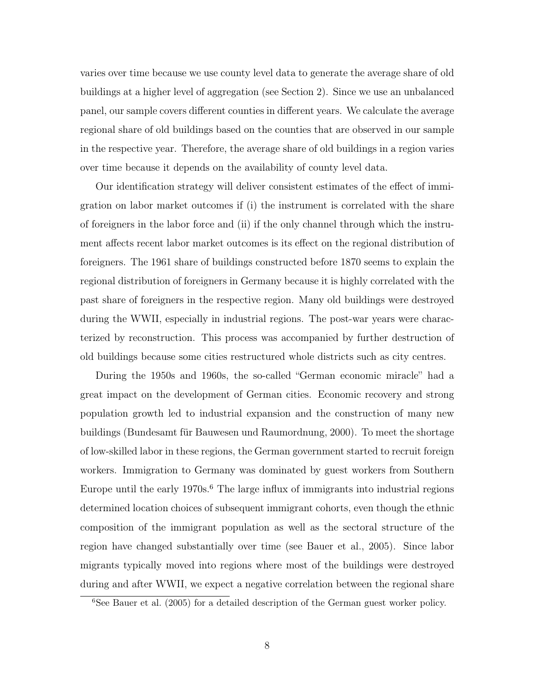varies over time because we use county level data to generate the average share of old buildings at a higher level of aggregation (see Section 2). Since we use an unbalanced panel, our sample covers different counties in different years. We calculate the average regional share of old buildings based on the counties that are observed in our sample in the respective year. Therefore, the average share of old buildings in a region varies over time because it depends on the availability of county level data.

Our identification strategy will deliver consistent estimates of the effect of immigration on labor market outcomes if (i) the instrument is correlated with the share of foreigners in the labor force and (ii) if the only channel through which the instrument affects recent labor market outcomes is its effect on the regional distribution of foreigners. The 1961 share of buildings constructed before 1870 seems to explain the regional distribution of foreigners in Germany because it is highly correlated with the past share of foreigners in the respective region. Many old buildings were destroyed during the WWII, especially in industrial regions. The post-war years were characterized by reconstruction. This process was accompanied by further destruction of old buildings because some cities restructured whole districts such as city centres.

During the 1950s and 1960s, the so-called "German economic miracle" had a great impact on the development of German cities. Economic recovery and strong population growth led to industrial expansion and the construction of many new buildings (Bundesamt für Bauwesen und Raumordnung, 2000). To meet the shortage of low-skilled labor in these regions, the German government started to recruit foreign workers. Immigration to Germany was dominated by guest workers from Southern Europe until the early  $1970s<sup>6</sup>$ . The large influx of immigrants into industrial regions determined location choices of subsequent immigrant cohorts, even though the ethnic composition of the immigrant population as well as the sectoral structure of the region have changed substantially over time (see Bauer et al., 2005). Since labor migrants typically moved into regions where most of the buildings were destroyed during and after WWII, we expect a negative correlation between the regional share

<sup>6</sup>See Bauer et al. (2005) for a detailed description of the German guest worker policy.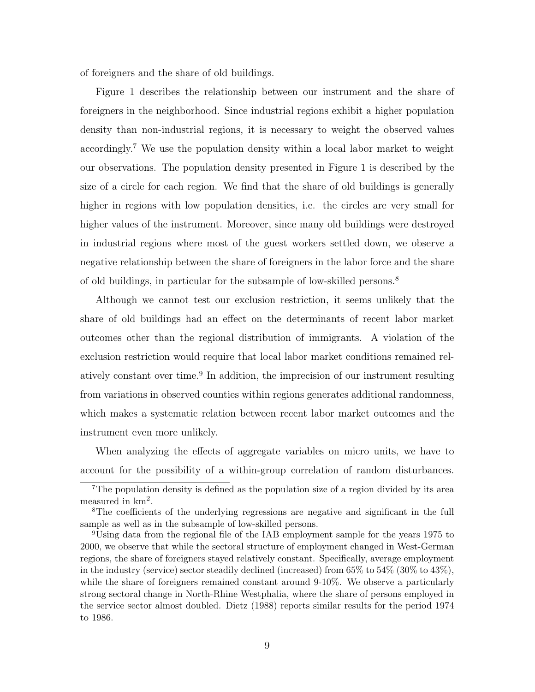of foreigners and the share of old buildings.

Figure 1 describes the relationship between our instrument and the share of foreigners in the neighborhood. Since industrial regions exhibit a higher population density than non-industrial regions, it is necessary to weight the observed values accordingly.<sup>7</sup> We use the population density within a local labor market to weight our observations. The population density presented in Figure 1 is described by the size of a circle for each region. We find that the share of old buildings is generally higher in regions with low population densities, i.e. the circles are very small for higher values of the instrument. Moreover, since many old buildings were destroyed in industrial regions where most of the guest workers settled down, we observe a negative relationship between the share of foreigners in the labor force and the share of old buildings, in particular for the subsample of low-skilled persons.<sup>8</sup>

Although we cannot test our exclusion restriction, it seems unlikely that the share of old buildings had an effect on the determinants of recent labor market outcomes other than the regional distribution of immigrants. A violation of the exclusion restriction would require that local labor market conditions remained relatively constant over time.<sup>9</sup> In addition, the imprecision of our instrument resulting from variations in observed counties within regions generates additional randomness, which makes a systematic relation between recent labor market outcomes and the instrument even more unlikely.

When analyzing the effects of aggregate variables on micro units, we have to account for the possibility of a within-group correlation of random disturbances.

<sup>7</sup>The population density is defined as the population size of a region divided by its area measured in  $km^2$ .

<sup>8</sup>The coefficients of the underlying regressions are negative and significant in the full sample as well as in the subsample of low-skilled persons.

<sup>9</sup>Using data from the regional file of the IAB employment sample for the years 1975 to 2000, we observe that while the sectoral structure of employment changed in West-German regions, the share of foreigners stayed relatively constant. Specifically, average employment in the industry (service) sector steadily declined (increased) from 65% to 54% (30% to 43%), while the share of foreigners remained constant around 9-10%. We observe a particularly strong sectoral change in North-Rhine Westphalia, where the share of persons employed in the service sector almost doubled. Dietz (1988) reports similar results for the period 1974 to 1986.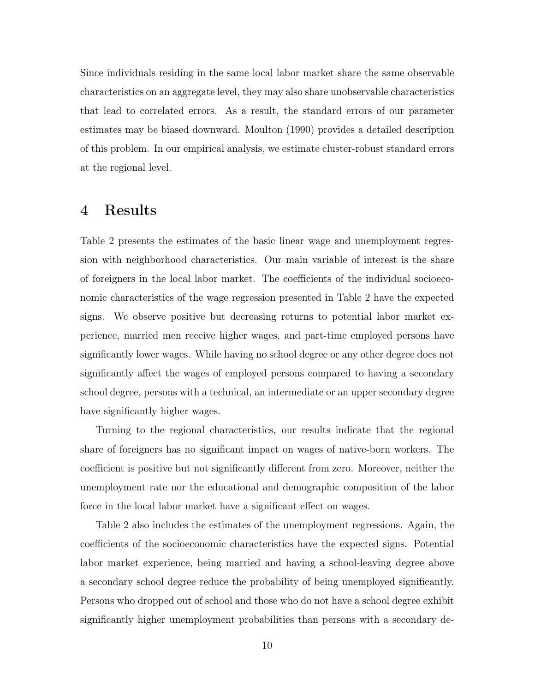Since individuals residing in the same local labor market share the same observable characteristics on an aggregate level, they may also share unobservable characteristics that lead to correlated errors. As a result, the standard errors of our parameter estimates may be biased downward. Moulton (1990) provides a detailed description of this problem. In our empirical analysis, we estimate cluster-robust standard errors at the regional level.

#### 4 Results

Table 2 presents the estimates of the basic linear wage and unemployment regression with neighborhood characteristics. Our main variable of interest is the share of foreigners in the local labor market. The coefficients of the individual socioeconomic characteristics of the wage regression presented in Table 2 have the expected signs. We observe positive but decreasing returns to potential labor market experience, married men receive higher wages, and part-time employed persons have significantly lower wages. While having no school degree or any other degree does not significantly affect the wages of employed persons compared to having a secondary school degree, persons with a technical, an intermediate or an upper secondary degree have significantly higher wages.

Turning to the regional characteristics, our results indicate that the regional share of foreigners has no significant impact on wages of native-born workers. The coefficient is positive but not significantly different from zero. Moreover, neither the unemployment rate nor the educational and demographic composition of the labor force in the local labor market have a significant effect on wages.

Table 2 also includes the estimates of the unemployment regressions. Again, the coefficients of the socioeconomic characteristics have the expected signs. Potential labor market experience, being married and having a school-leaving degree above a secondary school degree reduce the probability of being unemployed significantly. Persons who dropped out of school and those who do not have a school degree exhibit significantly higher unemployment probabilities than persons with a secondary de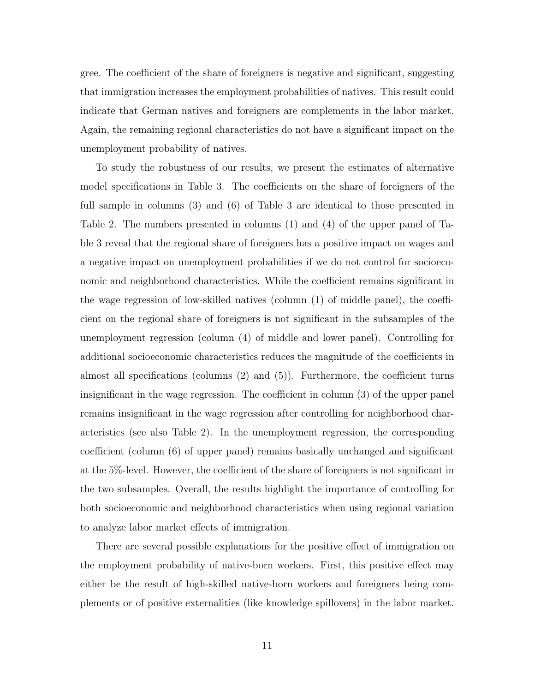gree. The coefficient of the share of foreigners is negative and significant, suggesting that immigration increases the employment probabilities of natives. This result could indicate that German natives and foreigners are complements in the labor market. Again, the remaining regional characteristics do not have a significant impact on the unemployment probability of natives.

To study the robustness of our results, we present the estimates of alternative model specifications in Table 3. The coefficients on the share of foreigners of the full sample in columns (3) and (6) of Table 3 are identical to those presented in Table 2. The numbers presented in columns (1) and (4) of the upper panel of Table 3 reveal that the regional share of foreigners has a positive impact on wages and a negative impact on unemployment probabilities if we do not control for socioeconomic and neighborhood characteristics. While the coefficient remains significant in the wage regression of low-skilled natives (column (1) of middle panel), the coefficient on the regional share of foreigners is not significant in the subsamples of the unemployment regression (column (4) of middle and lower panel). Controlling for additional socioeconomic characteristics reduces the magnitude of the coefficients in almost all specifications (columns (2) and (5)). Furthermore, the coefficient turns insignificant in the wage regression. The coefficient in column (3) of the upper panel remains insignificant in the wage regression after controlling for neighborhood characteristics (see also Table 2). In the unemployment regression, the corresponding coefficient (column (6) of upper panel) remains basically unchanged and significant at the 5%-level. However, the coefficient of the share of foreigners is not significant in the two subsamples. Overall, the results highlight the importance of controlling for both socioeconomic and neighborhood characteristics when using regional variation to analyze labor market effects of immigration.

There are several possible explanations for the positive effect of immigration on the employment probability of native-born workers. First, this positive effect may either be the result of high-skilled native-born workers and foreigners being complements or of positive externalities (like knowledge spillovers) in the labor market.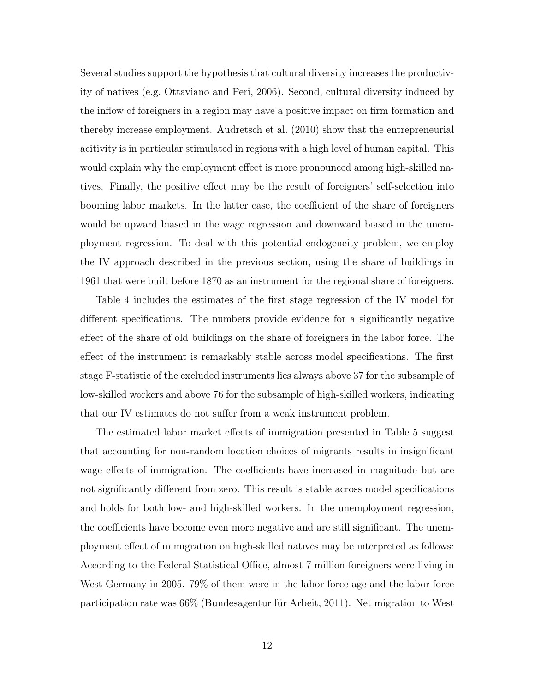Several studies support the hypothesis that cultural diversity increases the productivity of natives (e.g. Ottaviano and Peri, 2006). Second, cultural diversity induced by the inflow of foreigners in a region may have a positive impact on firm formation and thereby increase employment. Audretsch et al. (2010) show that the entrepreneurial acitivity is in particular stimulated in regions with a high level of human capital. This would explain why the employment effect is more pronounced among high-skilled natives. Finally, the positive effect may be the result of foreigners' self-selection into booming labor markets. In the latter case, the coefficient of the share of foreigners would be upward biased in the wage regression and downward biased in the unemployment regression. To deal with this potential endogeneity problem, we employ the IV approach described in the previous section, using the share of buildings in 1961 that were built before 1870 as an instrument for the regional share of foreigners.

Table 4 includes the estimates of the first stage regression of the IV model for different specifications. The numbers provide evidence for a significantly negative effect of the share of old buildings on the share of foreigners in the labor force. The effect of the instrument is remarkably stable across model specifications. The first stage F-statistic of the excluded instruments lies always above 37 for the subsample of low-skilled workers and above 76 for the subsample of high-skilled workers, indicating that our IV estimates do not suffer from a weak instrument problem.

The estimated labor market effects of immigration presented in Table 5 suggest that accounting for non-random location choices of migrants results in insignificant wage effects of immigration. The coefficients have increased in magnitude but are not significantly different from zero. This result is stable across model specifications and holds for both low- and high-skilled workers. In the unemployment regression, the coefficients have become even more negative and are still significant. The unemployment effect of immigration on high-skilled natives may be interpreted as follows: According to the Federal Statistical Office, almost 7 million foreigners were living in West Germany in 2005. 79% of them were in the labor force age and the labor force participation rate was 66% (Bundesagentur für Arbeit, 2011). Net migration to West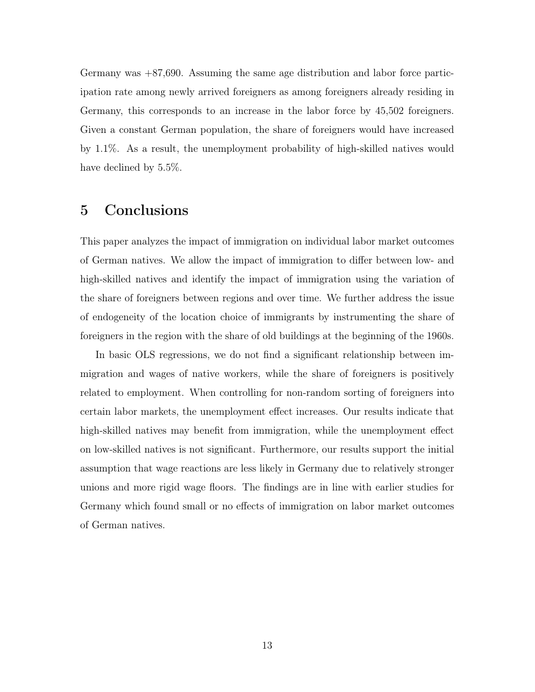Germany was +87,690. Assuming the same age distribution and labor force participation rate among newly arrived foreigners as among foreigners already residing in Germany, this corresponds to an increase in the labor force by 45,502 foreigners. Given a constant German population, the share of foreigners would have increased by 1.1%. As a result, the unemployment probability of high-skilled natives would have declined by 5.5%.

#### 5 Conclusions

This paper analyzes the impact of immigration on individual labor market outcomes of German natives. We allow the impact of immigration to differ between low- and high-skilled natives and identify the impact of immigration using the variation of the share of foreigners between regions and over time. We further address the issue of endogeneity of the location choice of immigrants by instrumenting the share of foreigners in the region with the share of old buildings at the beginning of the 1960s.

In basic OLS regressions, we do not find a significant relationship between immigration and wages of native workers, while the share of foreigners is positively related to employment. When controlling for non-random sorting of foreigners into certain labor markets, the unemployment effect increases. Our results indicate that high-skilled natives may benefit from immigration, while the unemployment effect on low-skilled natives is not significant. Furthermore, our results support the initial assumption that wage reactions are less likely in Germany due to relatively stronger unions and more rigid wage floors. The findings are in line with earlier studies for Germany which found small or no effects of immigration on labor market outcomes of German natives.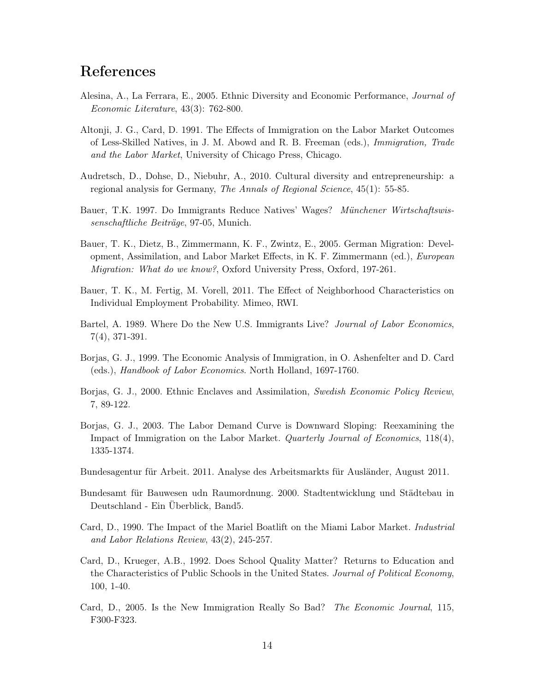### References

- Alesina, A., La Ferrara, E., 2005. Ethnic Diversity and Economic Performance, Journal of Economic Literature, 43(3): 762-800.
- Altonji, J. G., Card, D. 1991. The Effects of Immigration on the Labor Market Outcomes of Less-Skilled Natives, in J. M. Abowd and R. B. Freeman (eds.), Immigration, Trade and the Labor Market, University of Chicago Press, Chicago.
- Audretsch, D., Dohse, D., Niebuhr, A., 2010. Cultural diversity and entrepreneurship: a regional analysis for Germany, The Annals of Regional Science, 45(1): 55-85.
- Bauer, T.K. 1997. Do Immigrants Reduce Natives' Wages? Münchener Wirtschaftswissenschaftliche Beiträge, 97-05, Munich.
- Bauer, T. K., Dietz, B., Zimmermann, K. F., Zwintz, E., 2005. German Migration: Development, Assimilation, and Labor Market Effects, in K. F. Zimmermann (ed.), European Migration: What do we know?, Oxford University Press, Oxford, 197-261.
- Bauer, T. K., M. Fertig, M. Vorell, 2011. The Effect of Neighborhood Characteristics on Individual Employment Probability. Mimeo, RWI.
- Bartel, A. 1989. Where Do the New U.S. Immigrants Live? Journal of Labor Economics, 7(4), 371-391.
- Borjas, G. J., 1999. The Economic Analysis of Immigration, in O. Ashenfelter and D. Card (eds.), Handbook of Labor Economics. North Holland, 1697-1760.
- Borjas, G. J., 2000. Ethnic Enclaves and Assimilation, Swedish Economic Policy Review, 7, 89-122.
- Borjas, G. J., 2003. The Labor Demand Curve is Downward Sloping: Reexamining the Impact of Immigration on the Labor Market. Quarterly Journal of Economics, 118(4), 1335-1374.
- Bundesagentur für Arbeit. 2011. Analyse des Arbeitsmarkts für Ausländer, August 2011.
- Bundesamt für Bauwesen udn Raumordnung. 2000. Stadtentwicklung und Städtebau in Deutschland - Ein Überblick, Band5.
- Card, D., 1990. The Impact of the Mariel Boatlift on the Miami Labor Market. Industrial and Labor Relations Review, 43(2), 245-257.
- Card, D., Krueger, A.B., 1992. Does School Quality Matter? Returns to Education and the Characteristics of Public Schools in the United States. *Journal of Political Economy*, 100, 1-40.
- Card, D., 2005. Is the New Immigration Really So Bad? The Economic Journal, 115, F300-F323.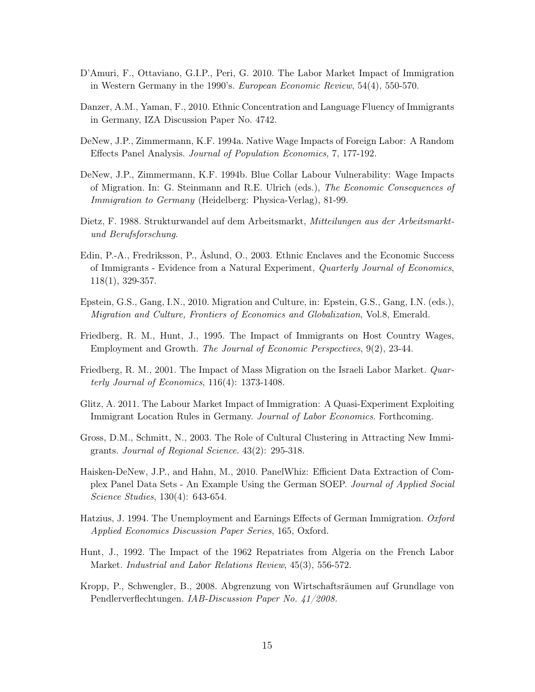- D'Amuri, F., Ottaviano, G.I.P., Peri, G. 2010. The Labor Market Impact of Immigration in Western Germany in the 1990's. European Economic Review, 54(4), 550-570.
- Danzer, A.M., Yaman, F., 2010. Ethnic Concentration and Language Fluency of Immigrants in Germany, IZA Discussion Paper No. 4742.
- DeNew, J.P., Zimmermann, K.F. 1994a. Native Wage Impacts of Foreign Labor: A Random Effects Panel Analysis. Journal of Population Economics, 7, 177-192.
- DeNew, J.P., Zimmermann, K.F. 1994b. Blue Collar Labour Vulnerability: Wage Impacts of Migration. In: G. Steinmann and R.E. Ulrich (eds.), The Economic Consequences of Immigration to Germany (Heidelberg: Physica-Verlag), 81-99.
- Dietz, F. 1988. Strukturwandel auf dem Arbeitsmarkt, Mitteilungen aus der Arbeitsmarktund Berufsforschung.
- Edin, P.-A., Fredriksson, P., Åslund, O., 2003. Ethnic Enclaves and the Economic Success of Immigrants - Evidence from a Natural Experiment, Quarterly Journal of Economics, 118(1), 329-357.
- Epstein, G.S., Gang, I.N., 2010. Migration and Culture, in: Epstein, G.S., Gang, I.N. (eds.), Migration and Culture, Frontiers of Economics and Globalization, Vol.8, Emerald.
- Friedberg, R. M., Hunt, J., 1995. The Impact of Immigrants on Host Country Wages, Employment and Growth. The Journal of Economic Perspectives, 9(2), 23-44.
- Friedberg, R. M., 2001. The Impact of Mass Migration on the Israeli Labor Market. Quarterly Journal of Economics, 116(4): 1373-1408.
- Glitz, A. 2011. The Labour Market Impact of Immigration: A Quasi-Experiment Exploiting Immigrant Location Rules in Germany. Journal of Labor Economics. Forthcoming.
- Gross, D.M., Schmitt, N., 2003. The Role of Cultural Clustering in Attracting New Immigrants. Journal of Regional Science. 43(2): 295-318.
- Haisken-DeNew, J.P., and Hahn, M., 2010. PanelWhiz: Efficient Data Extraction of Complex Panel Data Sets - An Example Using the German SOEP. Journal of Applied Social Science Studies, 130(4): 643-654.
- Hatzius, J. 1994. The Unemployment and Earnings Effects of German Immigration. Oxford Applied Economics Discussion Paper Series, 165, Oxford.
- Hunt, J., 1992. The Impact of the 1962 Repatriates from Algeria on the French Labor Market. Industrial and Labor Relations Review, 45(3), 556-572.
- Kropp, P., Schwengler, B., 2008. Abgrenzung von Wirtschaftsräumen auf Grundlage von Pendlerverflechtungen. IAB-Discussion Paper No. 41/2008.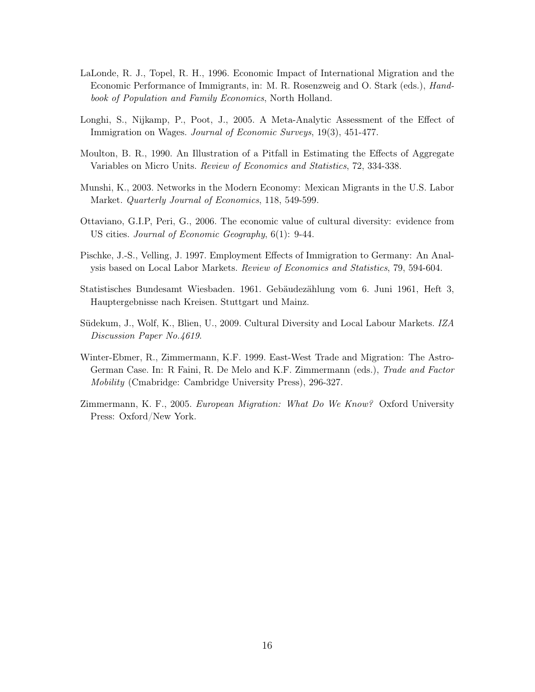- LaLonde, R. J., Topel, R. H., 1996. Economic Impact of International Migration and the Economic Performance of Immigrants, in: M. R. Rosenzweig and O. Stark (eds.), Handbook of Population and Family Economics, North Holland.
- Longhi, S., Nijkamp, P., Poot, J., 2005. A Meta-Analytic Assessment of the Effect of Immigration on Wages. Journal of Economic Surveys, 19(3), 451-477.
- Moulton, B. R., 1990. An Illustration of a Pitfall in Estimating the Effects of Aggregate Variables on Micro Units. Review of Economics and Statistics, 72, 334-338.
- Munshi, K., 2003. Networks in the Modern Economy: Mexican Migrants in the U.S. Labor Market. Quarterly Journal of Economics, 118, 549-599.
- Ottaviano, G.I.P, Peri, G., 2006. The economic value of cultural diversity: evidence from US cities. *Journal of Economic Geography*,  $6(1)$ : 9-44.
- Pischke, J.-S., Velling, J. 1997. Employment Effects of Immigration to Germany: An Analysis based on Local Labor Markets. Review of Economics and Statistics, 79, 594-604.
- Statistisches Bundesamt Wiesbaden. 1961. Gebäudezählung vom 6. Juni 1961, Heft 3, Hauptergebnisse nach Kreisen. Stuttgart und Mainz.
- Südekum, J., Wolf, K., Blien, U., 2009. Cultural Diversity and Local Labour Markets. IZA Discussion Paper No.4619.
- Winter-Ebmer, R., Zimmermann, K.F. 1999. East-West Trade and Migration: The Astro-German Case. In: R Faini, R. De Melo and K.F. Zimmermann (eds.), Trade and Factor Mobility (Cmabridge: Cambridge University Press), 296-327.
- Zimmermann, K. F., 2005. European Migration: What Do We Know? Oxford University Press: Oxford/New York.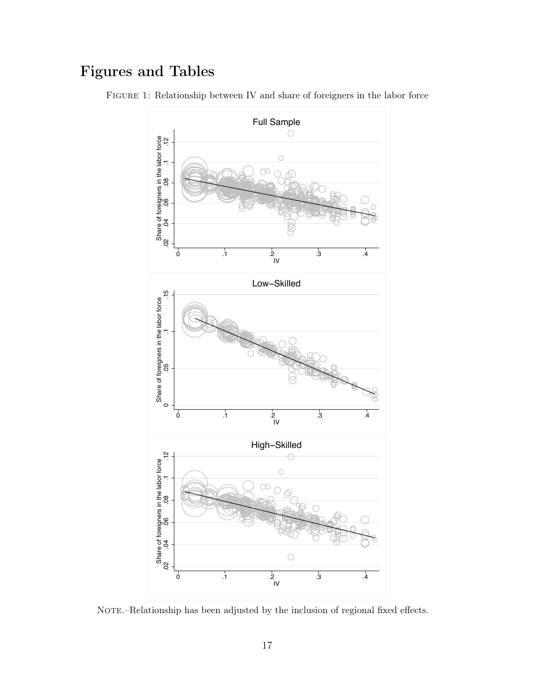## Figures and Tables



Figure 1: Relationship between IV and share of foreigners in the labor force

NOTE.–Relationship has been adjusted by the inclusion of regional fixed effects.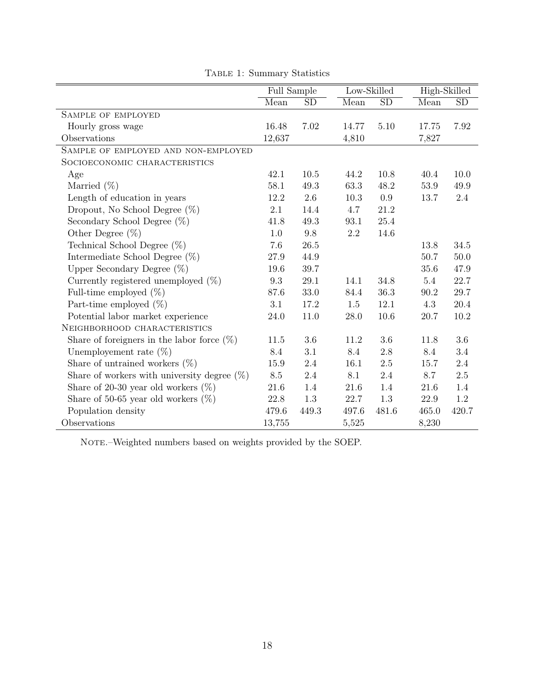|                                                | Full Sample |           | Low-Skilled |           | High-Skilled |           |
|------------------------------------------------|-------------|-----------|-------------|-----------|--------------|-----------|
|                                                | Mean        | <b>SD</b> | Mean        | <b>SD</b> | Mean         | <b>SD</b> |
| SAMPLE OF EMPLOYED                             |             |           |             |           |              |           |
| Hourly gross wage                              | 16.48       | 7.02      | 14.77       | 5.10      | 17.75        | 7.92      |
| Observations                                   | 12,637      |           | 4,810       |           | 7,827        |           |
| SAMPLE OF EMPLOYED AND NON-EMPLOYED            |             |           |             |           |              |           |
| SOCIOECONOMIC CHARACTERISTICS                  |             |           |             |           |              |           |
| Age                                            | 42.1        | 10.5      | 44.2        | 10.8      | 40.4         | 10.0      |
| Married $(\%)$                                 | 58.1        | 49.3      | 63.3        | 48.2      | 53.9         | 49.9      |
| Length of education in years                   | 12.2        | 2.6       | 10.3        | 0.9       | 13.7         | 2.4       |
| Dropout, No School Degree $(\%)$               | 2.1         | 14.4      | 4.7         | 21.2      |              |           |
| Secondary School Degree $(\%)$                 | 41.8        | 49.3      | 93.1        | 25.4      |              |           |
| Other Degree $(\%)$                            | 1.0         | 9.8       | 2.2         | 14.6      |              |           |
| Technical School Degree $(\%)$                 | 7.6         | 26.5      |             |           | 13.8         | 34.5      |
| Intermediate School Degree $(\%)$              | 27.9        | 44.9      |             |           | 50.7         | 50.0      |
| Upper Secondary Degree $(\%)$                  | 19.6        | 39.7      |             |           | $35.6\,$     | 47.9      |
| Currently registered unemployed $(\%)$         | 9.3         | 29.1      | 14.1        | 34.8      | 5.4          | 22.7      |
| Full-time employed $(\%)$                      | 87.6        | $33.0\,$  | 84.4        | $36.3\,$  | 90.2         | 29.7      |
| Part-time employed $(\%)$                      | 3.1         | 17.2      | 1.5         | 12.1      | 4.3          | 20.4      |
| Potential labor market experience              | 24.0        | 11.0      | 28.0        | 10.6      | 20.7         | 10.2      |
| NEIGHBORHOOD CHARACTERISTICS                   |             |           |             |           |              |           |
| Share of foreigners in the labor force $(\%)$  | 11.5        | 3.6       | 11.2        | 3.6       | 11.8         | 3.6       |
| Unemployement rate $(\%)$                      | 8.4         | 3.1       | 8.4         | 2.8       | 8.4          | 3.4       |
| Share of untrained workers $(\%)$              | 15.9        | 2.4       | 16.1        | 2.5       | 15.7         | 2.4       |
| Share of workers with university degree $(\%)$ | 8.5         | 2.4       | 8.1         | 2.4       | 8.7          | 2.5       |
| Share of 20-30 year old workers $(\%)$         | 21.6        | 1.4       | 21.6        | 1.4       | 21.6         | 1.4       |
| Share of 50-65 year old workers $(\%)$         | 22.8        | 1.3       | 22.7        | 1.3       | 22.9         | 1.2       |
| Population density                             | 479.6       | 449.3     | 497.6       | 481.6     | 465.0        | 420.7     |
| Observations                                   | 13,755      |           | 5,525       |           | 8,230        |           |

Table 1: Summary Statistics

NOTE.–Weighted numbers based on weights provided by the SOEP.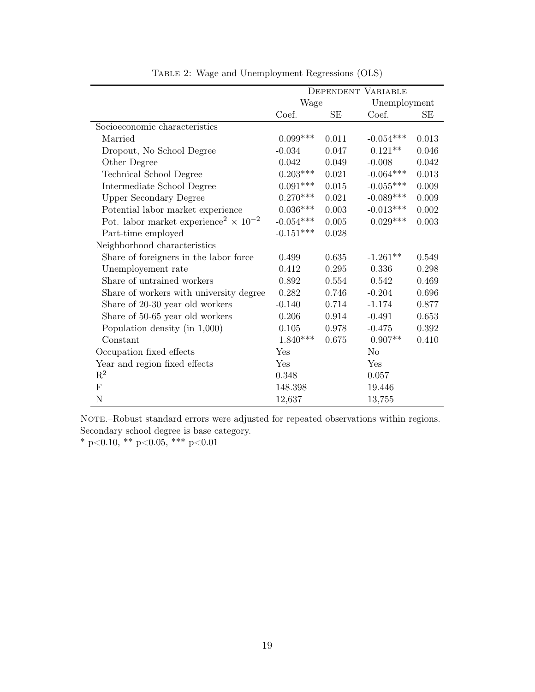|                                                                     | DEPENDENT VARIABLE |           |              |           |  |
|---------------------------------------------------------------------|--------------------|-----------|--------------|-----------|--|
|                                                                     | Wage               |           | Unemployment |           |  |
|                                                                     | Coef.              | <b>SE</b> | Coef.        | SE        |  |
| Socioeconomic characteristics                                       |                    |           |              |           |  |
| Married                                                             | $0.099***$         | 0.011     | $-0.054***$  | 0.013     |  |
| Dropout, No School Degree                                           | $-0.034$           | 0.047     | $0.121**$    | 0.046     |  |
| Other Degree                                                        | 0.042              | 0.049     | $-0.008$     | 0.042     |  |
| Technical School Degree                                             | $0.203***$         | 0.021     | $-0.064***$  | 0.013     |  |
| Intermediate School Degree                                          | $0.091***$         | 0.015     | $-0.055***$  | 0.009     |  |
| <b>Upper Secondary Degree</b>                                       | $0.270***$         | 0.021     | $-0.089***$  | $0.009\,$ |  |
| Potential labor market experience                                   | $0.036***$         | 0.003     | $-0.013***$  | 0.002     |  |
| Pot. labor market experience <sup>2</sup> $\times$ 10 <sup>-2</sup> | $-0.054***$        | 0.005     | $0.029***$   | 0.003     |  |
| Part-time employed                                                  | $-0.151***$        | 0.028     |              |           |  |
| Neighborhood characteristics                                        |                    |           |              |           |  |
| Share of foreigners in the labor force                              | 0.499              | 0.635     | $-1.261**$   | 0.549     |  |
| Unemployement rate                                                  | 0.412              | 0.295     | 0.336        | 0.298     |  |
| Share of untrained workers                                          | 0.892              | 0.554     | 0.542        | 0.469     |  |
| Share of workers with university degree                             | 0.282              | 0.746     | $-0.204$     | 0.696     |  |
| Share of 20-30 year old workers                                     | $-0.140$           | 0.714     | $-1.174$     | 0.877     |  |
| Share of 50-65 year old workers                                     | 0.206              | 0.914     | $-0.491$     | 0.653     |  |
| Population density (in $1,000$ )                                    | 0.105              | 0.978     | $-0.475$     | 0.392     |  |
| Constant                                                            | $1.840***$         | 0.675     | $0.907**$    | 0.410     |  |
| Occupation fixed effects                                            | Yes                |           | No           |           |  |
| Year and region fixed effects                                       | Yes                |           | Yes          |           |  |
| $\mathrm{R}^2$                                                      | 0.348              |           | 0.057        |           |  |
| $\mathbf{F}$                                                        | 148.398            |           | 19.446       |           |  |
| N                                                                   | 12,637             |           | 13,755       |           |  |

Table 2: Wage and Unemployment Regressions (OLS)

NOTE.–Robust standard errors were adjusted for repeated observations within regions. Secondary school degree is base category.

\* p<0.10, \*\* p<0.05, \*\*\* p<0.01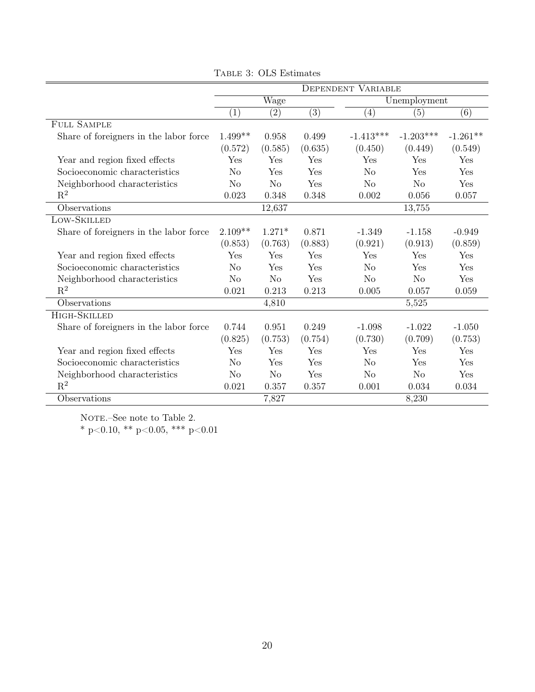|                                        | <b>DEPENDENT VARIABLE</b> |                |                  |                   |                |                  |
|----------------------------------------|---------------------------|----------------|------------------|-------------------|----------------|------------------|
|                                        | Wage<br>Unemployment      |                |                  |                   |                |                  |
|                                        | $\left( 1\right)$         | (2)            | $\overline{(3)}$ | $\left( 4\right)$ | (5)            | $\overline{(6)}$ |
| <b>FULL SAMPLE</b>                     |                           |                |                  |                   |                |                  |
| Share of foreigners in the labor force | $1.499**$                 | 0.958          | 0.499            | $-1.413***$       | $-1.203***$    | $-1.261**$       |
|                                        | (0.572)                   | (0.585)        | (0.635)          | (0.450)           | (0.449)        | (0.549)          |
| Year and region fixed effects          | Yes                       | Yes            | Yes              | Yes               | Yes            | Yes              |
| Socioeconomic characteristics          | $\rm No$                  | Yes            | Yes              | $\rm No$          | Yes            | Yes              |
| Neighborhood characteristics           | No                        | No             | Yes              | N <sub>o</sub>    | N <sub>o</sub> | Yes              |
| $\mathbf{R}^2$                         | 0.023                     | 0.348          | 0.348            | 0.002             | 0.056          | 0.057            |
| Observations                           |                           | 12,637         |                  |                   | 13,755         |                  |
| LOW-SKILLED                            |                           |                |                  |                   |                |                  |
| Share of foreigners in the labor force | $2.109**$                 | $1.271*$       | 0.871            | $-1.349$          | $-1.158$       | $-0.949$         |
|                                        | (0.853)                   | (0.763)        | (0.883)          | (0.921)           | (0.913)        | (0.859)          |
| Year and region fixed effects          | Yes                       | Yes            | Yes              | Yes               | Yes            | Yes              |
| Socioeconomic characteristics          | N <sub>o</sub>            | Yes            | Yes              | N <sub>o</sub>    | Yes            | Yes              |
| Neighborhood characteristics           | No                        | N <sub>o</sub> | Yes              | N <sub>o</sub>    | No             | Yes              |
| $\mathbf{R}^2$                         | 0.021                     | 0.213          | 0.213            | 0.005             | 0.057          | 0.059            |
| Observations                           |                           | 4,810          |                  |                   | 5,525          |                  |
| HIGH-SKILLED                           |                           |                |                  |                   |                |                  |
| Share of foreigners in the labor force | 0.744                     | 0.951          | 0.249            | $-1.098$          | $-1.022$       | $-1.050$         |
|                                        | (0.825)                   | (0.753)        | (0.754)          | (0.730)           | (0.709)        | (0.753)          |
| Year and region fixed effects          | Yes                       | Yes            | Yes              | Yes               | Yes            | Yes              |
| Socioeconomic characteristics          | N <sub>o</sub>            | Yes            | Yes              | N <sub>o</sub>    | Yes            | Yes              |
| Neighborhood characteristics           | No                        | N <sub>o</sub> | Yes              | No                | No             | Yes              |
| $\mathbf{R}^2$                         | 0.021                     | 0.357          | 0.357            | 0.001             | 0.034          | 0.034            |
| Observations                           |                           | 7,827          |                  |                   | 8,230          |                  |

Table 3: OLS Estimates

NOTE.–See note to Table 2.

\* p<0.10, \*\* p<0.05, \*\*\* p<0.01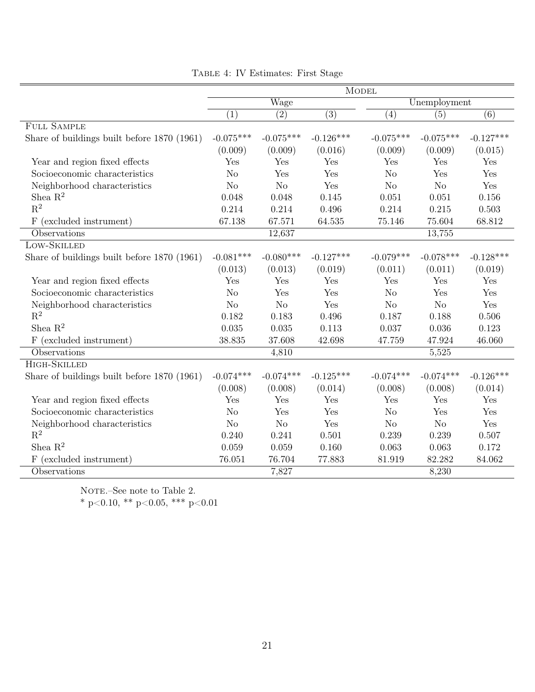|                                             | <b>MODEL</b>   |                  |                  |              |                  |                  |  |
|---------------------------------------------|----------------|------------------|------------------|--------------|------------------|------------------|--|
|                                             | Wage           |                  |                  | Unemployment |                  |                  |  |
|                                             | (1)            | $\overline{(2)}$ | $\overline{(3)}$ | (4)          | $\overline{(5)}$ | $\overline{(6)}$ |  |
| <b>FULL SAMPLE</b>                          |                |                  |                  |              |                  |                  |  |
| Share of buildings built before 1870 (1961) | $-0.075***$    | $-0.075***$      | $-0.126***$      | $-0.075***$  | $-0.075***$      | $-0.127***$      |  |
|                                             | (0.009)        | (0.009)          | (0.016)          | (0.009)      | (0.009)          | (0.015)          |  |
| Year and region fixed effects               | Yes            | Yes              | Yes              | Yes          | Yes              | Yes              |  |
| Socioeconomic characteristics               | No             | Yes              | Yes              | No           | Yes              | Yes              |  |
| Neighborhood characteristics                | N <sub>o</sub> | $\rm No$         | Yes              | $\rm No$     | No               | Yes              |  |
| Shea $R^2$                                  | 0.048          | 0.048            | 0.145            | 0.051        | 0.051            | 0.156            |  |
| $R^2$                                       | 0.214          | 0.214            | 0.496            | 0.214        | 0.215            | 0.503            |  |
| F (excluded instrument)                     | 67.138         | 67.571           | 64.535           | 75.146       | 75.604           | 68.812           |  |
| Observations                                |                | 12,637           |                  |              | 13,755           |                  |  |
| LOW-SKILLED                                 |                |                  |                  |              |                  |                  |  |
| Share of buildings built before 1870 (1961) | $-0.081***$    | $-0.080***$      | $-0.127***$      | $-0.079***$  | $-0.078***$      | $-0.128***$      |  |
|                                             | (0.013)        | (0.013)          | (0.019)          | (0.011)      | (0.011)          | (0.019)          |  |
| Year and region fixed effects               | Yes            | Yes              | Yes              | Yes          | Yes              | Yes              |  |
| Socioeconomic characteristics               | No             | Yes              | Yes              | No           | Yes              | Yes              |  |
| Neighborhood characteristics                | $\rm No$       | No               | Yes              | $\rm No$     | No               | Yes              |  |
| $R^2$                                       | 0.182          | 0.183            | 0.496            | 0.187        | 0.188            | 0.506            |  |
| Shea $\mathbf{R}^2$                         | 0.035          | 0.035            | 0.113            | 0.037        | 0.036            | 0.123            |  |
| F (excluded instrument)                     | 38.835         | 37.608           | 42.698           | 47.759       | 47.924           | 46.060           |  |
| Observations                                |                | 4,810            |                  |              | 5,525            |                  |  |
| HIGH-SKILLED                                |                |                  |                  |              |                  |                  |  |
| Share of buildings built before 1870 (1961) | $-0.074***$    | $-0.074***$      | $-0.125***$      | $-0.074***$  | $-0.074***$      | $-0.126***$      |  |
|                                             | (0.008)        | (0.008)          | (0.014)          | (0.008)      | (0.008)          | (0.014)          |  |
| Year and region fixed effects               | Yes            | Yes              | Yes              | Yes          | Yes              | Yes              |  |
| Socioeconomic characteristics               | N <sub>o</sub> | Yes              | Yes              | No           | Yes              | Yes              |  |
| Neighborhood characteristics                | N <sub>o</sub> | $\rm No$         | Yes              | $\rm No$     | $\rm No$         | Yes              |  |
| $\mathbf{R}^2$                              | 0.240          | 0.241            | 0.501            | 0.239        | 0.239            | 0.507            |  |
| Shea $\mathbf{R}^2$                         | 0.059          | 0.059            | 0.160            | 0.063        | 0.063            | 0.172            |  |
| F (excluded instrument)                     | 76.051         | 76.704           | 77.883           | 81.919       | 82.282           | 84.062           |  |
| Observations                                |                | 7,827            |                  |              | 8,230            |                  |  |

|  | TABLE 4: IV Estimates: First Stage |  |
|--|------------------------------------|--|
|  |                                    |  |

NOTE.–See note to Table 2.

\* p<0.10, \*\* p<0.05, \*\*\* p<0.01